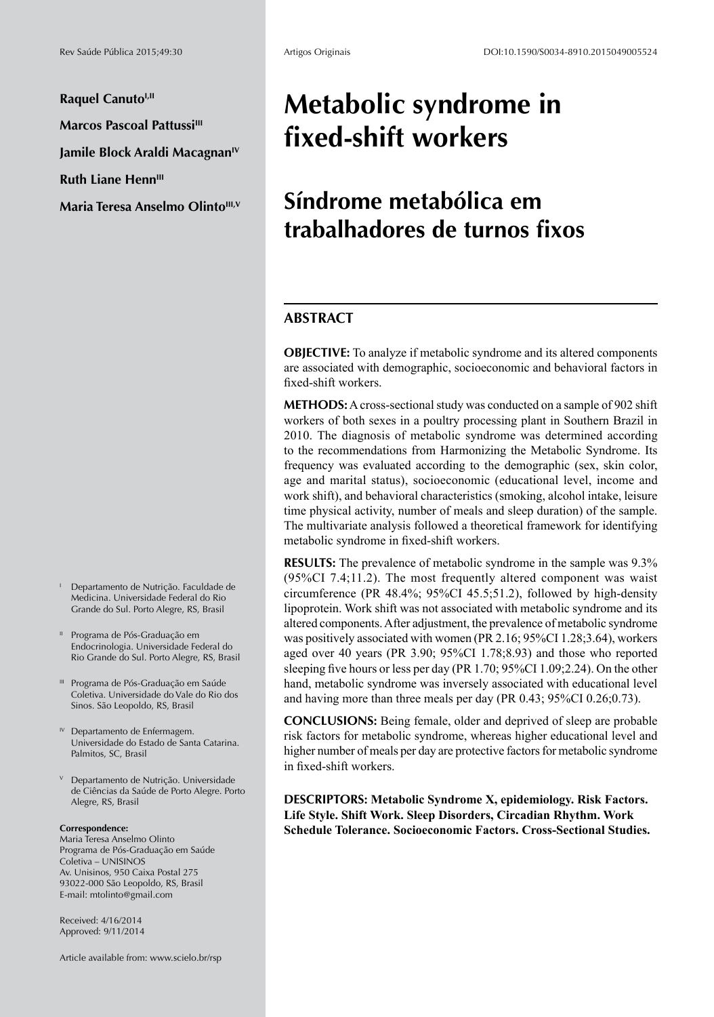**Raquel Canuto<sup>I,II</sup> Marcos Pascoal Pattussi<sup>III</sup>** 

**Jamile Block Araldi MacagnanIV**

**Ruth Liane Henn<sup>III</sup>** 

**Maria Teresa Anselmo Olinto<sup>III, V</sup>** 

- <sup>I</sup> Departamento de Nutrição. Faculdade de Medicina. Universidade Federal do Rio Grande do Sul. Porto Alegre, RS, Brasil
- Programa de Pós-Graduação em Endocrinologia. Universidade Federal do Rio Grande do Sul. Porto Alegre, RS, Brasil
- III Programa de Pós-Graduação em Saúde Coletiva. Universidade do Vale do Rio dos Sinos. São Leopoldo, RS, Brasil
- <sup>IV</sup> Departamento de Enfermagem. Universidade do Estado de Santa Catarina. Palmitos, SC, Brasil
- <sup>V</sup> Departamento de Nutrição. Universidade de Ciências da Saúde de Porto Alegre. Porto Alegre, RS, Brasil

#### **Correspondence:**

Maria Teresa Anselmo Olinto Programa de Pós-Graduação em Saúde Coletiva – UNISINOS Av. Unisinos, 950 Caixa Postal 275 93022-000 São Leopoldo, RS, Brasil E-mail: mtolinto@gmail.com

Received: 4/16/2014 Approved: 9/11/2014

Article available from: www.scielo.br/rsp

# **Metabolic syndrome in fixed-shift workers**

# **Síndrome metabólica em trabalhadores de turnos fixos**

## **ABSTRACT**

**OBJECTIVE:** To analyze if metabolic syndrome and its altered components are associated with demographic, socioeconomic and behavioral factors in fixed-shift workers.

**METHODS:** A cross-sectional study was conducted on a sample of 902 shift workers of both sexes in a poultry processing plant in Southern Brazil in 2010. The diagnosis of metabolic syndrome was determined according to the recommendations from Harmonizing the Metabolic Syndrome. Its frequency was evaluated according to the demographic (sex, skin color, age and marital status), socioeconomic (educational level, income and work shift), and behavioral characteristics (smoking, alcohol intake, leisure time physical activity, number of meals and sleep duration) of the sample. The multivariate analysis followed a theoretical framework for identifying metabolic syndrome in fixed-shift workers.

**RESULTS:** The prevalence of metabolic syndrome in the sample was 9.3% (95%CI 7.4;11.2). The most frequently altered component was waist circumference (PR 48.4%; 95%CI 45.5;51.2), followed by high-density lipoprotein. Work shift was not associated with metabolic syndrome and its altered components. After adjustment, the prevalence of metabolic syndrome was positively associated with women (PR 2.16; 95%CI 1.28;3.64), workers aged over 40 years (PR 3.90; 95%CI 1.78;8.93) and those who reported sleeping five hours or less per day (PR 1.70; 95%CI 1.09;2.24). On the other hand, metabolic syndrome was inversely associated with educational level and having more than three meals per day (PR 0.43; 95%CI 0.26;0.73).

**CONCLUSIONS:** Being female, older and deprived of sleep are probable risk factors for metabolic syndrome, whereas higher educational level and higher number of meals per day are protective factors for metabolic syndrome in fixed-shift workers.

**DESCRIPTORS: Metabolic Syndrome X, epidemiology. Risk Factors. Life Style. Shift Work. Sleep Disorders, Circadian Rhythm. Work Schedule Tolerance. Socioeconomic Factors. Cross-Sectional Studies.**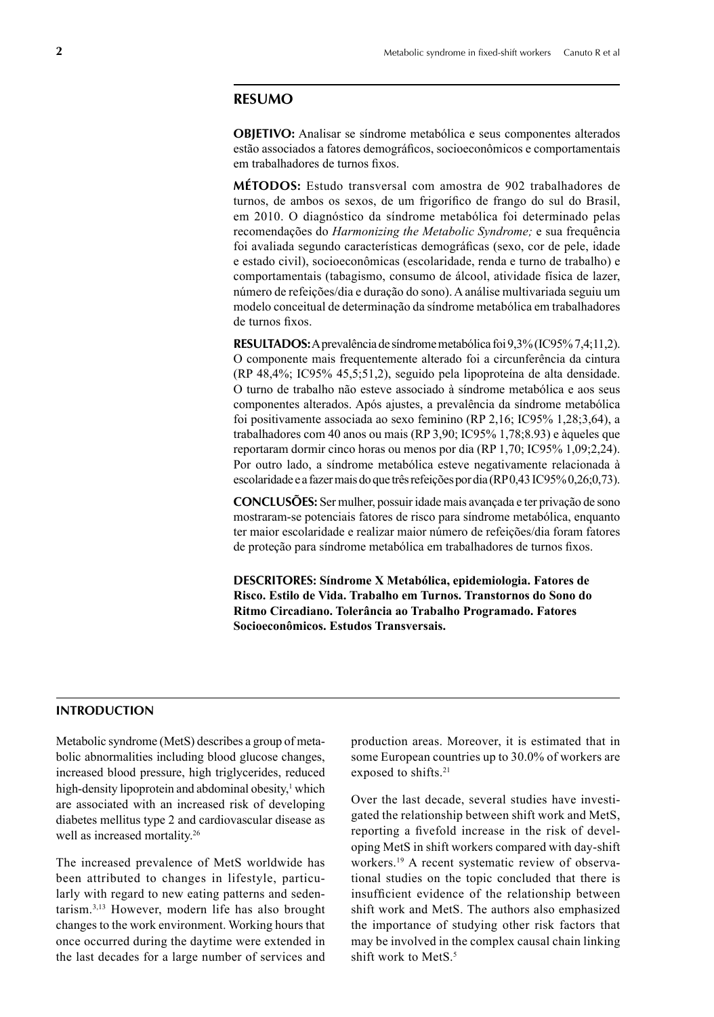#### **RESUMO**

**OBJETIVO:** Analisar se síndrome metabólica e seus componentes alterados estão associados a fatores demográficos, socioeconômicos e comportamentais em trabalhadores de turnos fixos.

**MÉTODOS:** Estudo transversal com amostra de 902 trabalhadores de turnos, de ambos os sexos, de um frigorífico de frango do sul do Brasil, em 2010. O diagnóstico da síndrome metabólica foi determinado pelas recomendações do *Harmonizing the Metabolic Syndrome;* e sua frequência foi avaliada segundo características demográficas (sexo, cor de pele, idade e estado civil), socioeconômicas (escolaridade, renda e turno de trabalho) e comportamentais (tabagismo, consumo de álcool, atividade física de lazer, número de refeições/dia e duração do sono). A análise multivariada seguiu um modelo conceitual de determinação da síndrome metabólica em trabalhadores de turnos fixos.

**RESULTADOS:** A prevalência de síndrome metabólica foi 9,3% (IC95% 7,4;11,2). O componente mais frequentemente alterado foi a circunferência da cintura (RP 48,4%; IC95% 45,5;51,2), seguido pela lipoproteína de alta densidade. O turno de trabalho não esteve associado à síndrome metabólica e aos seus componentes alterados. Após ajustes, a prevalência da síndrome metabólica foi positivamente associada ao sexo feminino (RP 2,16; IC95% 1,28;3,64), a trabalhadores com 40 anos ou mais (RP 3,90; IC95% 1,78;8.93) e àqueles que reportaram dormir cinco horas ou menos por dia (RP 1,70; IC95% 1,09;2,24). Por outro lado, a síndrome metabólica esteve negativamente relacionada à escolaridade e a fazer mais do que três refeições por dia (RP 0,43 IC95% 0,26;0,73).

**CONCLUSÕES:** Ser mulher, possuir idade mais avançada e ter privação de sono mostraram-se potenciais fatores de risco para síndrome metabólica, enquanto ter maior escolaridade e realizar maior número de refeições/dia foram fatores de proteção para síndrome metabólica em trabalhadores de turnos fixos.

**DESCRITORES: Síndrome X Metabólica, epidemiologia. Fatores de Risco. Estilo de Vida. Trabalho em Turnos. Transtornos do Sono do Ritmo Circadiano. Tolerância ao Trabalho Programado. Fatores Socioeconômicos. Estudos Transversais.**

## **INTRODUCTION**

Metabolic syndrome (MetS) describes a group of metabolic abnormalities including blood glucose changes, increased blood pressure, high triglycerides, reduced high-density lipoprotein and abdominal obesity,<sup>1</sup> which are associated with an increased risk of developing diabetes mellitus type 2 and cardiovascular disease as well as increased mortality.26

The increased prevalence of MetS worldwide has been attributed to changes in lifestyle, particularly with regard to new eating patterns and sedentarism.3,13 However, modern life has also brought changes to the work environment. Working hours that once occurred during the daytime were extended in the last decades for a large number of services and production areas. Moreover, it is estimated that in some European countries up to 30.0% of workers are exposed to shifts.<sup>21</sup>

Over the last decade, several studies have investigated the relationship between shift work and MetS, reporting a fivefold increase in the risk of developing MetS in shift workers compared with day-shift workers.19 A recent systematic review of observational studies on the topic concluded that there is insufficient evidence of the relationship between shift work and MetS. The authors also emphasized the importance of studying other risk factors that may be involved in the complex causal chain linking shift work to MetS.<sup>5</sup>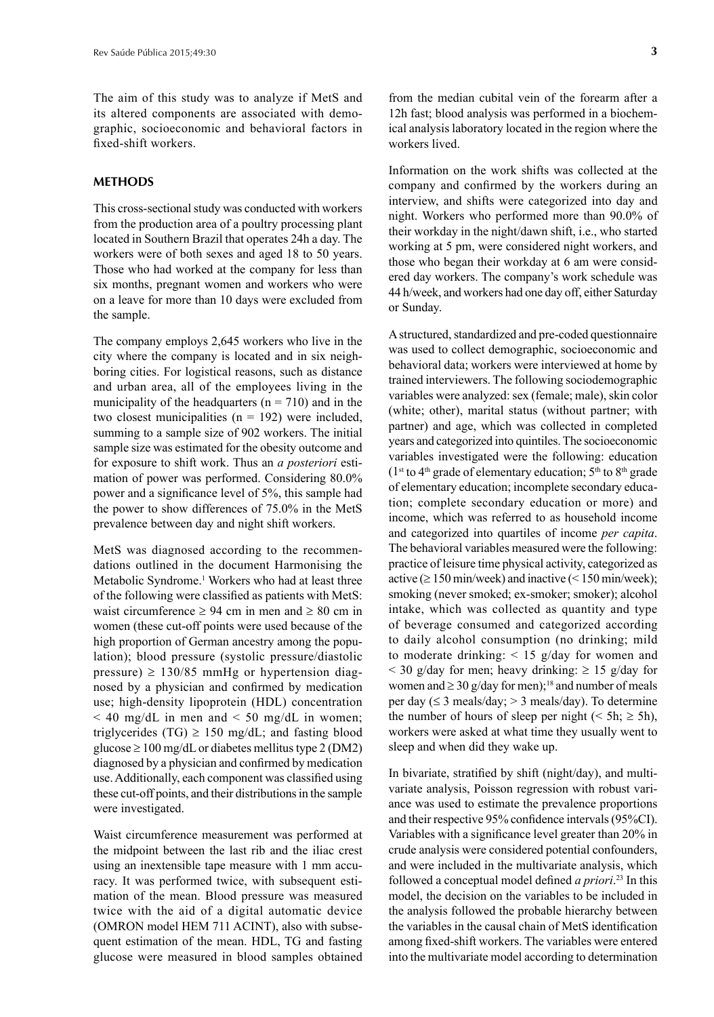The aim of this study was to analyze if MetS and its altered components are associated with demographic, socioeconomic and behavioral factors in fixed-shift workers.

#### **METHODS**

This cross-sectional study was conducted with workers from the production area of a poultry processing plant located in Southern Brazil that operates 24h a day. The workers were of both sexes and aged 18 to 50 years. Those who had worked at the company for less than six months, pregnant women and workers who were on a leave for more than 10 days were excluded from the sample.

The company employs 2,645 workers who live in the city where the company is located and in six neighboring cities. For logistical reasons, such as distance and urban area, all of the employees living in the municipality of the headquarters ( $n = 710$ ) and in the two closest municipalities  $(n = 192)$  were included, summing to a sample size of 902 workers. The initial sample size was estimated for the obesity outcome and for exposure to shift work. Thus an *a posteriori* estimation of power was performed. Considering 80.0% power and a significance level of 5%, this sample had the power to show differences of 75.0% in the MetS prevalence between day and night shift workers.

MetS was diagnosed according to the recommendations outlined in the document Harmonising the Metabolic Syndrome.<sup>1</sup> Workers who had at least three of the following were classified as patients with MetS: waist circumference  $\geq 94$  cm in men and  $\geq 80$  cm in women (these cut-off points were used because of the high proportion of German ancestry among the population); blood pressure (systolic pressure/diastolic pressure)  $\geq$  130/85 mmHg or hypertension diagnosed by a physician and confirmed by medication use; high-density lipoprotein (HDL) concentration  $<$  40 mg/dL in men and  $<$  50 mg/dL in women; triglycerides (TG)  $\geq$  150 mg/dL; and fasting blood glucose ≥ 100 mg/dL or diabetes mellitus type 2 (DM2) diagnosed by a physician and confirmed by medication use. Additionally, each component was classified using these cut-off points, and their distributions in the sample were investigated.

Waist circumference measurement was performed at the midpoint between the last rib and the iliac crest using an inextensible tape measure with 1 mm accuracy. It was performed twice, with subsequent estimation of the mean. Blood pressure was measured twice with the aid of a digital automatic device (OMRON model HEM 711 ACINT), also with subsequent estimation of the mean. HDL, TG and fasting glucose were measured in blood samples obtained from the median cubital vein of the forearm after a 12h fast; blood analysis was performed in a biochemical analysis laboratory located in the region where the workers lived.

Information on the work shifts was collected at the company and confirmed by the workers during an interview, and shifts were categorized into day and night. Workers who performed more than 90.0% of their workday in the night/dawn shift, i.e., who started working at 5 pm, were considered night workers, and those who began their workday at 6 am were considered day workers. The company's work schedule was 44 h/week, and workers had one day off, either Saturday or Sunday.

A structured, standardized and pre-coded questionnaire was used to collect demographic, socioeconomic and behavioral data; workers were interviewed at home by trained interviewers. The following sociodemographic variables were analyzed: sex (female; male), skin color (white; other), marital status (without partner; with partner) and age, which was collected in completed years and categorized into quintiles. The socioeconomic variables investigated were the following: education ( $1<sup>st</sup>$  to  $4<sup>th</sup>$  grade of elementary education;  $5<sup>th</sup>$  to  $8<sup>th</sup>$  grade of elementary education; incomplete secondary education; complete secondary education or more) and income, which was referred to as household income and categorized into quartiles of income *per capita*. The behavioral variables measured were the following: practice of leisure time physical activity, categorized as active ( $\geq 150$  min/week) and inactive ( $\leq 150$  min/week); smoking (never smoked; ex-smoker; smoker); alcohol intake, which was collected as quantity and type of beverage consumed and categorized according to daily alcohol consumption (no drinking; mild to moderate drinking: < 15 g/day for women and  $<$  30 g/day for men; heavy drinking:  $\geq$  15 g/day for women and  $\geq$  30 g/day for men);<sup>18</sup> and number of meals per day ( $\leq$  3 meals/day;  $>$  3 meals/day). To determine the number of hours of sleep per night ( $\le 5h$ ;  $\ge 5h$ ), workers were asked at what time they usually went to sleep and when did they wake up.

In bivariate, stratified by shift (night/day), and multivariate analysis, Poisson regression with robust variance was used to estimate the prevalence proportions and their respective 95% confidence intervals (95%CI). Variables with a significance level greater than 20% in crude analysis were considered potential confounders, and were included in the multivariate analysis, which followed a conceptual model defined *a priori*. 23 In this model, the decision on the variables to be included in the analysis followed the probable hierarchy between the variables in the causal chain of MetS identification among fixed-shift workers. The variables were entered into the multivariate model according to determination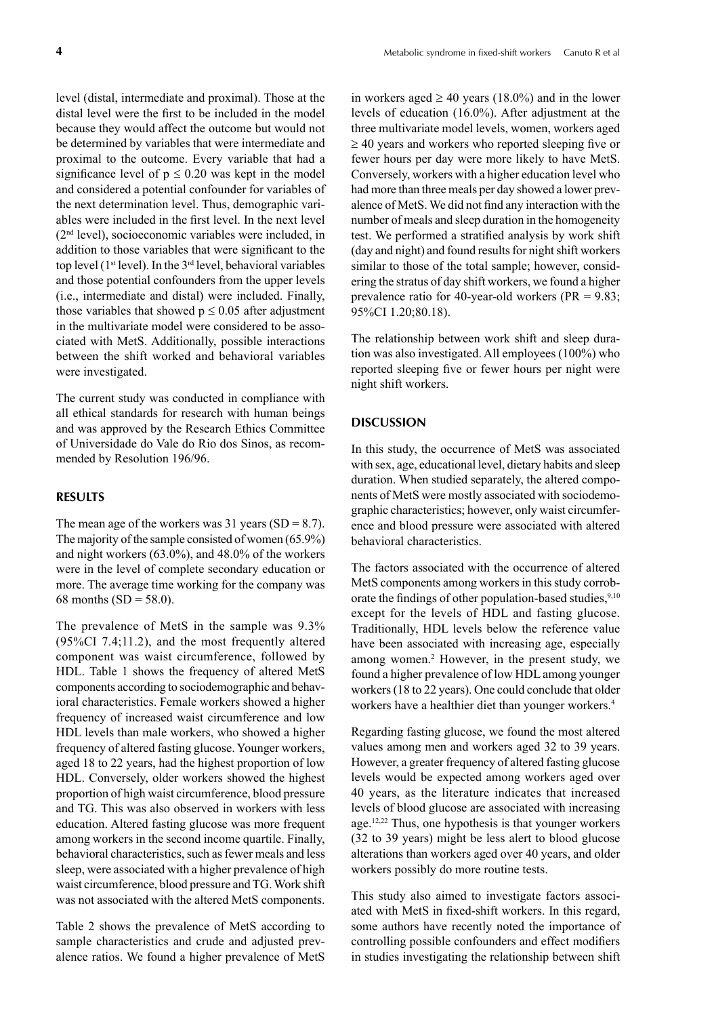level (distal, intermediate and proximal). Those at the distal level were the first to be included in the model because they would affect the outcome but would not be determined by variables that were intermediate and proximal to the outcome. Every variable that had a significance level of  $p \le 0.20$  was kept in the model and considered a potential confounder for variables of the next determination level. Thus, demographic variables were included in the first level. In the next level (2nd level), socioeconomic variables were included, in addition to those variables that were significant to the top level ( $1<sup>st</sup>$  level). In the  $3<sup>rd</sup>$  level, behavioral variables and those potential confounders from the upper levels (i.e., intermediate and distal) were included. Finally, those variables that showed  $p \le 0.05$  after adjustment in the multivariate model were considered to be associated with MetS. Additionally, possible interactions between the shift worked and behavioral variables were investigated.

The current study was conducted in compliance with all ethical standards for research with human beings and was approved by the Research Ethics Committee of Universidade do Vale do Rio dos Sinos, as recommended by Resolution 196/96.

#### **RESULTS**

The mean age of the workers was  $31$  years (SD = 8.7). The majority of the sample consisted of women (65.9%) and night workers (63.0%), and 48.0% of the workers were in the level of complete secondary education or more. The average time working for the company was 68 months ( $SD = 58.0$ ).

The prevalence of MetS in the sample was 9.3% (95%CI 7.4;11.2), and the most frequently altered component was waist circumference, followed by HDL. Table 1 shows the frequency of altered MetS components according to sociodemographic and behavioral characteristics. Female workers showed a higher frequency of increased waist circumference and low HDL levels than male workers, who showed a higher frequency of altered fasting glucose. Younger workers, aged 18 to 22 years, had the highest proportion of low HDL. Conversely, older workers showed the highest proportion of high waist circumference, blood pressure and TG. This was also observed in workers with less education. Altered fasting glucose was more frequent among workers in the second income quartile. Finally, behavioral characteristics, such as fewer meals and less sleep, were associated with a higher prevalence of high waist circumference, blood pressure and TG. Work shift was not associated with the altered MetS components.

Table 2 shows the prevalence of MetS according to sample characteristics and crude and adjusted prevalence ratios. We found a higher prevalence of MetS

in workers aged  $\geq 40$  years (18.0%) and in the lower levels of education (16.0%). After adjustment at the three multivariate model levels, women, workers aged  $\geq$  40 years and workers who reported sleeping five or fewer hours per day were more likely to have MetS. Conversely, workers with a higher education level who had more than three meals per day showed a lower prevalence of MetS. We did not find any interaction with the number of meals and sleep duration in the homogeneity test. We performed a stratified analysis by work shift (day and night) and found results for night shift workers similar to those of the total sample; however, considering the stratus of day shift workers, we found a higher prevalence ratio for 40-year-old workers (PR = 9.83; 95%CI 1.20;80.18).

The relationship between work shift and sleep duration was also investigated. All employees (100%) who reported sleeping five or fewer hours per night were night shift workers.

#### **DISCUSSION**

In this study, the occurrence of MetS was associated with sex, age, educational level, dietary habits and sleep duration. When studied separately, the altered components of MetS were mostly associated with sociodemographic characteristics; however, only waist circumference and blood pressure were associated with altered behavioral characteristics.

The factors associated with the occurrence of altered MetS components among workers in this study corroborate the findings of other population-based studies,<sup>9,10</sup> except for the levels of HDL and fasting glucose. Traditionally, HDL levels below the reference value have been associated with increasing age, especially among women.<sup>2</sup> However, in the present study, we found a higher prevalence of low HDL among younger workers (18 to 22 years). One could conclude that older workers have a healthier diet than younger workers.<sup>4</sup>

Regarding fasting glucose, we found the most altered values among men and workers aged 32 to 39 years. However, a greater frequency of altered fasting glucose levels would be expected among workers aged over 40 years, as the literature indicates that increased levels of blood glucose are associated with increasing age.12,22 Thus, one hypothesis is that younger workers (32 to 39 years) might be less alert to blood glucose alterations than workers aged over 40 years, and older workers possibly do more routine tests.

This study also aimed to investigate factors associated with MetS in fixed-shift workers. In this regard, some authors have recently noted the importance of controlling possible confounders and effect modifiers in studies investigating the relationship between shift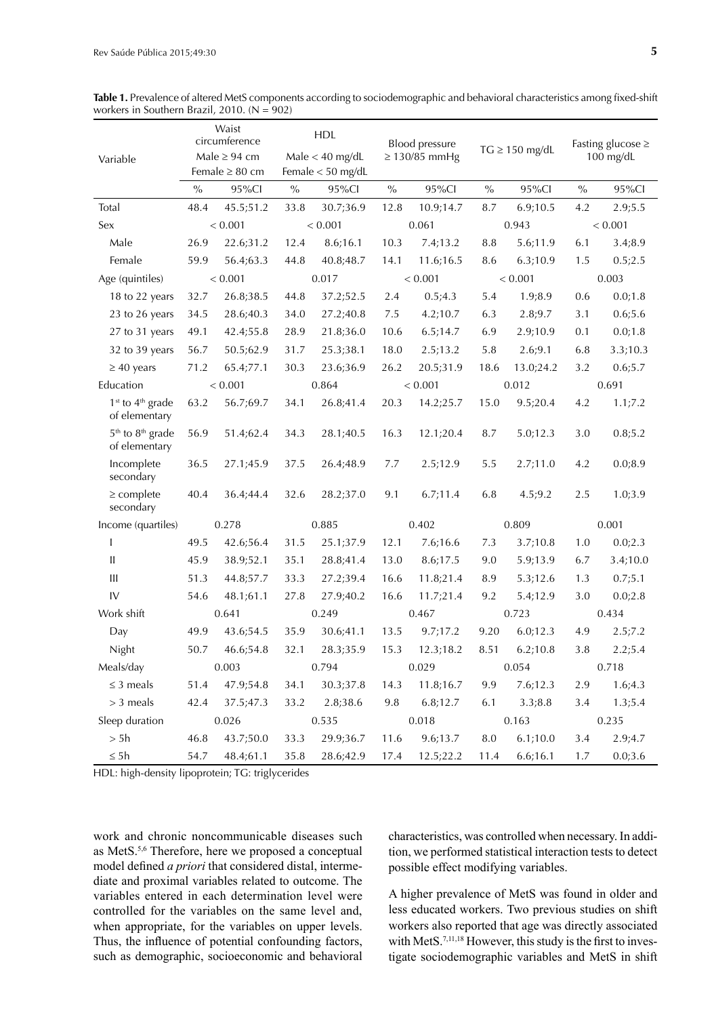| Variable                                                  | Waist<br>circumference<br>Male $\geq$ 94 cm |           | <b>HDL</b><br>$Male < 40$ mg/dL |           | Blood pressure<br>$\geq$ 130/85 mmHg |           | $TG \geq 150$ mg/dL |           | Fasting glucose $\geq$<br>$100$ mg/dL |          |
|-----------------------------------------------------------|---------------------------------------------|-----------|---------------------------------|-----------|--------------------------------------|-----------|---------------------|-----------|---------------------------------------|----------|
|                                                           | Female $\geq 80$ cm                         |           | Female $<$ 50 mg/dL             |           |                                      |           |                     |           |                                       |          |
|                                                           | $\frac{0}{0}$                               | 95%Cl     | $\%$                            | 95%Cl     | $\%$                                 | 95%Cl     | $\%$                | 95%CI     | $\frac{0}{0}$                         | 95%CI    |
| Total                                                     | 48.4                                        | 45.5;51.2 | 33.8                            | 30.7;36.9 | 12.8                                 | 10.9;14.7 | 8.7                 | 6.9;10.5  | 4.2                                   | 2.9;5.5  |
| Sex                                                       | < 0.001                                     |           | < 0.001                         |           | 0.061                                |           | 0.943               |           | < 0.001                               |          |
| Male                                                      | 26.9                                        | 22.6;31.2 | 12.4                            | 8.6;16.1  | 10.3                                 | 7.4;13.2  | 8.8                 | 5.6;11.9  | 6.1                                   | 3.4;8.9  |
| Female                                                    | 59.9                                        | 56.4;63.3 | 44.8                            | 40.8;48.7 | 14.1                                 | 11.6;16.5 | 8.6                 | 6.3;10.9  | 1.5                                   | 0.5;2.5  |
| Age (quintiles)                                           | < 0.001                                     |           | 0.017                           |           | < 0.001                              |           | < 0.001             |           | 0.003                                 |          |
| 18 to 22 years                                            | 32.7                                        | 26.8;38.5 | 44.8                            | 37.2;52.5 | 2.4                                  | 0.5;4.3   | 5.4                 | 1.9;8.9   | 0.6                                   | 0.0;1.8  |
| 23 to 26 years                                            | 34.5                                        | 28.6;40.3 | 34.0                            | 27.2;40.8 | 7.5                                  | 4.2;10.7  | 6.3                 | 2.8;9.7   | 3.1                                   | 0.6;5.6  |
| 27 to 31 years                                            | 49.1                                        | 42.4;55.8 | 28.9                            | 21.8;36.0 | 10.6                                 | 6.5;14.7  | 6.9                 | 2.9;10.9  | 0.1                                   | 0.0;1.8  |
| 32 to 39 years                                            | 56.7                                        | 50.5;62.9 | 31.7                            | 25.3;38.1 | 18.0                                 | 2.5;13.2  | 5.8                 | 2.6;9.1   | 6.8                                   | 3.3;10.3 |
| $\geq$ 40 years                                           | 71.2                                        | 65.4;77.1 | 30.3                            | 23.6;36.9 | 26.2                                 | 20.5;31.9 | 18.6                | 13.0;24.2 | 3.2                                   | 0.6;5.7  |
| Education                                                 | < 0.001                                     |           | 0.864                           |           | < 0.001                              |           | 0.012               |           | 0.691                                 |          |
| 1 <sup>st</sup> to 4 <sup>th</sup> grade<br>of elementary | 63.2                                        | 56.7;69.7 | 34.1                            | 26.8;41.4 | 20.3                                 | 14.2;25.7 | 15.0                | 9.5;20.4  | 4.2                                   | 1.1;7.2  |
| 5 <sup>th</sup> to 8 <sup>th</sup> grade<br>of elementary | 56.9                                        | 51.4;62.4 | 34.3                            | 28.1;40.5 | 16.3                                 | 12.1;20.4 | 8.7                 | 5.0;12.3  | 3.0                                   | 0.8;5.2  |
| Incomplete<br>secondary                                   | 36.5                                        | 27.1;45.9 | 37.5                            | 26.4;48.9 | 7.7                                  | 2.5;12.9  | 5.5                 | 2.7;11.0  | 4.2                                   | 0.0;8.9  |
| $\geq$ complete<br>secondary                              | 40.4                                        | 36.4;44.4 | 32.6                            | 28.2;37.0 | 9.1                                  | 6.7;11.4  | 6.8                 | 4.5;9.2   | 2.5                                   | 1.0;3.9  |
| Income (quartiles)                                        | 0.278                                       |           | 0.885                           |           | 0.402                                |           | 0.809               |           | 0.001                                 |          |
| T                                                         | 49.5                                        | 42.6;56.4 | 31.5                            | 25.1;37.9 | 12.1                                 | 7.6;16.6  | 7.3                 | 3.7;10.8  | 1.0                                   | 0.0;2.3  |
| Ш                                                         | 45.9                                        | 38.9;52.1 | 35.1                            | 28.8;41.4 | 13.0                                 | 8.6;17.5  | 9.0                 | 5.9;13.9  | 6.7                                   | 3.4;10.0 |
| Ш                                                         | 51.3                                        | 44.8;57.7 | 33.3                            | 27.2;39.4 | 16.6                                 | 11.8;21.4 | 8.9                 | 5.3;12.6  | 1.3                                   | 0.7;5.1  |
| IV                                                        | 54.6                                        | 48.1;61.1 | 27.8                            | 27.9;40.2 | 16.6                                 | 11.7;21.4 | 9.2                 | 5.4;12.9  | 3.0                                   | 0.0;2.8  |
| Work shift                                                | 0.641                                       |           | 0.249                           |           | 0.467                                |           | 0.723               |           | 0.434                                 |          |
| Day                                                       | 49.9                                        | 43.6;54.5 | 35.9                            | 30.6;41.1 | 13.5                                 | 9.7;17.2  | 9.20                | 6.0;12.3  | 4.9                                   | 2.5;7.2  |
| Night                                                     | 50.7                                        | 46.6;54.8 | 32.1                            | 28.3;35.9 | 15.3                                 | 12.3;18.2 | 8.51                | 6.2;10.8  | 3.8                                   | 2.2;5.4  |
| Meals/day                                                 | 0.003                                       |           | 0.794                           |           | 0.029                                |           | 0.054               |           | 0.718                                 |          |
| $\leq$ 3 meals                                            | 51.4                                        | 47.9;54.8 | 34.1                            | 30.3;37.8 | 14.3                                 | 11.8;16.7 | 9.9                 | 7.6;12.3  | 2.9                                   | 1.6;4.3  |
| $>$ 3 meals                                               | 42.4                                        | 37.5;47.3 | 33.2                            | 2.8;38.6  | 9.8                                  | 6.8;12.7  | 6.1                 | 3.3;8.8   | 3.4                                   | 1.3;5.4  |
| Sleep duration                                            | 0.026                                       |           | 0.535                           |           | 0.018                                |           | 0.163               |           | 0.235                                 |          |
| > 5h                                                      | 46.8                                        | 43.7;50.0 | 33.3                            | 29.9;36.7 | 11.6                                 | 9.6;13.7  | 8.0                 | 6.1;10.0  | 3.4                                   | 2.9;4.7  |
| $\leq 5$ h                                                | 54.7                                        | 48.4;61.1 | 35.8                            | 28.6;42.9 | 17.4                                 | 12.5;22.2 | 11.4                | 6.6;16.1  | 1.7                                   | 0.0;3.6  |

**Table 1.** Prevalence of altered MetS components according to sociodemographic and behavioral characteristics among fixed-shift workers in Southern Brazil, 2010. ( $N = 902$ )

HDL: high-density lipoprotein; TG: triglycerides

work and chronic noncommunicable diseases such as MetS.5,6 Therefore, here we proposed a conceptual model defined *a priori* that considered distal, intermediate and proximal variables related to outcome. The variables entered in each determination level were controlled for the variables on the same level and, when appropriate, for the variables on upper levels. Thus, the influence of potential confounding factors, such as demographic, socioeconomic and behavioral characteristics, was controlled when necessary. In addition, we performed statistical interaction tests to detect possible effect modifying variables.

A higher prevalence of MetS was found in older and less educated workers. Two previous studies on shift workers also reported that age was directly associated with MetS.<sup>7,11,18</sup> However, this study is the first to investigate sociodemographic variables and MetS in shift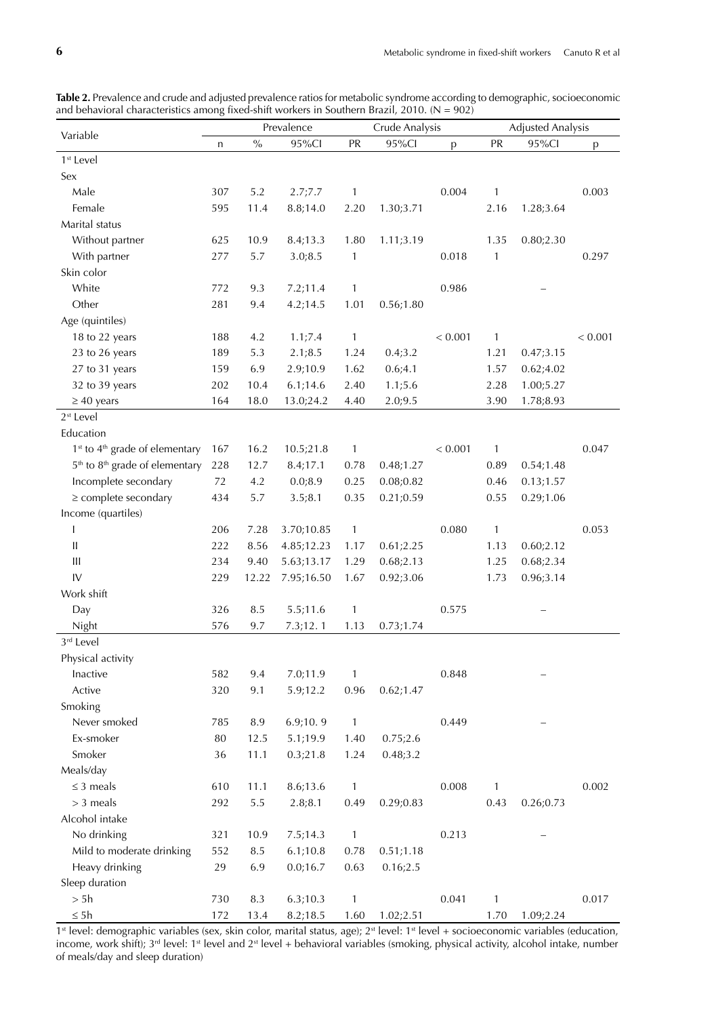|                                                        | Prevalence |       |            | Crude Analysis |            |         | <b>Adjusted Analysis</b> |           |         |
|--------------------------------------------------------|------------|-------|------------|----------------|------------|---------|--------------------------|-----------|---------|
| Variable                                               | n          | $\%$  | 95%Cl      | PR             | 95%Cl      | p       | PR                       | 95%Cl     | p       |
| 1 <sup>st</sup> Level                                  |            |       |            |                |            |         |                          |           |         |
| Sex                                                    |            |       |            |                |            |         |                          |           |         |
| Male                                                   | 307        | 5.2   | 2.7;7.7    | 1              |            | 0.004   | 1                        |           | 0.003   |
| Female                                                 | 595        | 11.4  | 8.8;14.0   | 2.20           | 1.30;3.71  |         | 2.16                     | 1.28;3.64 |         |
| Marital status                                         |            |       |            |                |            |         |                          |           |         |
| Without partner                                        | 625        | 10.9  | 8.4;13.3   | 1.80           | 1.11;3.19  |         | 1.35                     | 0.80;2.30 |         |
| With partner                                           | 277        | 5.7   | 3.0;8.5    | $\mathbf{1}$   |            | 0.018   | $\mathbf{1}$             |           | 0.297   |
| Skin color                                             |            |       |            |                |            |         |                          |           |         |
| White                                                  | 772        | 9.3   | 7.2;11.4   | 1              |            | 0.986   |                          |           |         |
| Other                                                  | 281        | 9.4   | 4.2;14.5   | 1.01           | 0.56;1.80  |         |                          |           |         |
| Age (quintiles)                                        |            |       |            |                |            |         |                          |           |         |
| 18 to 22 years                                         | 188        | 4.2   | 1.1;7.4    | $\mathbf{1}$   |            | < 0.001 | $\mathbf{1}$             |           | < 0.001 |
| 23 to 26 years                                         | 189        | 5.3   | 2.1;8.5    | 1.24           | 0.4;3.2    |         | 1.21                     | 0.47;3.15 |         |
| 27 to 31 years                                         | 159        | 6.9   | 2.9;10.9   | 1.62           | 0.6;4.1    |         | 1.57                     | 0.62;4.02 |         |
| 32 to 39 years                                         | 202        | 10.4  | 6.1;14.6   | 2.40           | 1.1;5.6    |         | 2.28                     | 1.00;5.27 |         |
| $\geq 40$ years                                        | 164        | 18.0  | 13.0;24.2  | 4.40           | 2.0;9.5    |         | 3.90                     | 1.78;8.93 |         |
| $2st$ Level                                            |            |       |            |                |            |         |                          |           |         |
| Education                                              |            |       |            |                |            |         |                          |           |         |
| 1 <sup>st</sup> to 4 <sup>th</sup> grade of elementary | 167        | 16.2  | 10.5;21.8  | $\mathbf{1}$   |            | < 0.001 | $\mathbf{1}$             |           | 0.047   |
| 5 <sup>th</sup> to 8 <sup>th</sup> grade of elementary | 228        | 12.7  | 8.4;17.1   | 0.78           | 0.48;1.27  |         | 0.89                     | 0.54;1.48 |         |
| Incomplete secondary                                   | 72         | 4.2   | 0.0;8.9    | 0.25           | 0.08;0.82  |         | 0.46                     | 0.13;1.57 |         |
| $\geq$ complete secondary                              | 434        | 5.7   | 3.5;8.1    | 0.35           | 0.21;0.59  |         | 0.55                     | 0.29;1.06 |         |
| Income (quartiles)                                     |            |       |            |                |            |         |                          |           |         |
| I                                                      | 206        | 7.28  | 3.70;10.85 | $\mathbf{1}$   |            | 0.080   | $\mathbf{1}$             |           | 0.053   |
| Ш                                                      | 222        | 8.56  | 4.85;12.23 | 1.17           | 0.61;2.25  |         | 1.13                     | 0.60;2.12 |         |
| Ш                                                      | 234        | 9.40  | 5.63;13.17 | 1.29           | 0.68;2.13  |         | 1.25                     | 0.68;2.34 |         |
| IV                                                     | 229        | 12.22 | 7.95;16.50 | 1.67           | 0.92;3.06  |         | 1.73                     | 0.96;3.14 |         |
| Work shift                                             |            |       |            |                |            |         |                          |           |         |
| Day                                                    | 326        | 8.5   | 5.5;11.6   | $\mathbf{1}$   |            | 0.575   |                          |           |         |
| Night                                                  | 576        | 9.7   | 7.3;12.1   | 1.13           | 0.73;1.74  |         |                          |           |         |
| 3 <sup>rd</sup> Level                                  |            |       |            |                |            |         |                          |           |         |
| Physical activity                                      |            |       |            |                |            |         |                          |           |         |
| Inactive                                               | 582        | 9.4   | 7.0;11.9   | $\mathbf{1}$   |            | 0.848   |                          |           |         |
| Active                                                 | 320        | 9.1   | 5.9;12.2   | 0.96           | 0.62; 1.47 |         |                          |           |         |
| Smoking                                                |            |       |            |                |            |         |                          |           |         |
| Never smoked                                           | 785        | 8.9   | 6.9;10.9   | $\mathbf{1}$   |            | 0.449   |                          |           |         |
| Ex-smoker                                              | 80         | 12.5  | 5.1;19.9   | 1.40           | 0.75;2.6   |         |                          |           |         |
| Smoker                                                 | 36         | 11.1  | 0.3;21.8   | 1.24           | 0.48;3.2   |         |                          |           |         |
| Meals/day                                              |            |       |            |                |            |         |                          |           |         |
| $\leq$ 3 meals                                         | 610        | 11.1  | 8.6;13.6   | $\mathbf{1}$   |            | 0.008   | 1                        |           | 0.002   |
| $>$ 3 meals                                            | 292        | 5.5   | 2.8;8.1    | 0.49           | 0.29;0.83  |         | 0.43                     | 0.26;0.73 |         |
| Alcohol intake                                         |            |       |            |                |            |         |                          |           |         |
| No drinking                                            | 321        | 10.9  | 7.5;14.3   | $\mathbf{1}$   |            | 0.213   |                          |           |         |
| Mild to moderate drinking                              | 552        | 8.5   | 6.1;10.8   | 0.78           | 0.51;1.18  |         |                          |           |         |
| Heavy drinking                                         | 29         | 6.9   | 0.0;16.7   | 0.63           | 0.16;2.5   |         |                          |           |         |
| Sleep duration                                         |            |       |            |                |            |         |                          |           |         |
| > 5h                                                   | 730        | 8.3   |            | $\mathbf{1}$   |            | 0.041   | $\mathbf{1}$             |           | 0.017   |
| $\leq 5h$                                              |            |       | 6.3;10.3   |                |            |         |                          |           |         |
|                                                        | 172        | 13.4  | 8.2;18.5   | 1.60           | 1.02;2.51  |         | 1.70                     | 1.09;2.24 |         |

**Table 2.** Prevalence and crude and adjusted prevalence ratios for metabolic syndrome according to demographic, socioeconomic and behavioral characteristics among fixed-shift workers in Southern Brazil, 2010. (N = 902)

 $1<sup>st</sup>$  level: demographic variables (sex, skin color, marital status, age);  $2<sup>st</sup>$  level:  $1<sup>st</sup>$  level + socioeconomic variables (education, income, work shift); 3<sup>rd</sup> level: 1<sup>st</sup> level and 2<sup>st</sup> level + behavioral variables (smoking, physical activity, alcohol intake, number of meals/day and sleep duration)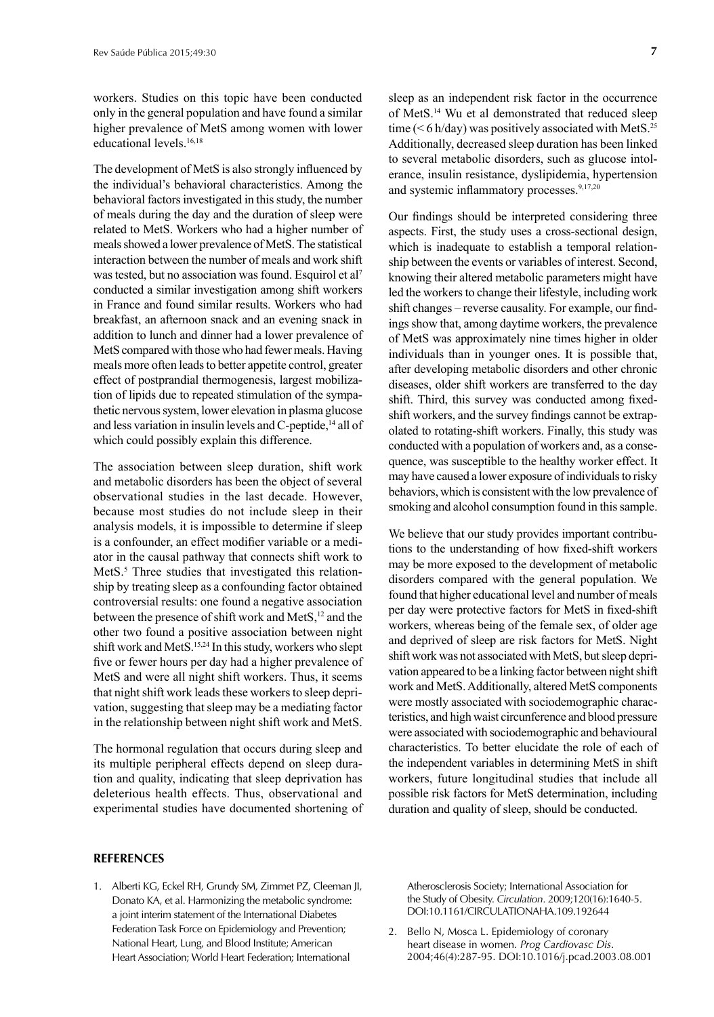workers. Studies on this topic have been conducted only in the general population and have found a similar higher prevalence of MetS among women with lower educational levels.<sup>16,18</sup>

The development of MetS is also strongly influenced by the individual's behavioral characteristics. Among the behavioral factors investigated in this study, the number of meals during the day and the duration of sleep were related to MetS. Workers who had a higher number of meals showed a lower prevalence of MetS. The statistical interaction between the number of meals and work shift was tested, but no association was found. Esquirol et al7 conducted a similar investigation among shift workers in France and found similar results. Workers who had breakfast, an afternoon snack and an evening snack in addition to lunch and dinner had a lower prevalence of MetS compared with those who had fewer meals. Having meals more often leads to better appetite control, greater effect of postprandial thermogenesis, largest mobilization of lipids due to repeated stimulation of the sympathetic nervous system, lower elevation in plasma glucose and less variation in insulin levels and C-peptide,<sup>14</sup> all of which could possibly explain this difference.

The association between sleep duration, shift work and metabolic disorders has been the object of several observational studies in the last decade. However, because most studies do not include sleep in their analysis models, it is impossible to determine if sleep is a confounder, an effect modifier variable or a mediator in the causal pathway that connects shift work to MetS.<sup>5</sup> Three studies that investigated this relationship by treating sleep as a confounding factor obtained controversial results: one found a negative association between the presence of shift work and MetS,<sup>12</sup> and the other two found a positive association between night shift work and MetS.15,24 In this study, workers who slept five or fewer hours per day had a higher prevalence of MetS and were all night shift workers. Thus, it seems that night shift work leads these workers to sleep deprivation, suggesting that sleep may be a mediating factor in the relationship between night shift work and MetS.

The hormonal regulation that occurs during sleep and its multiple peripheral effects depend on sleep duration and quality, indicating that sleep deprivation has deleterious health effects. Thus, observational and experimental studies have documented shortening of

#### **REFERENCES**

1. Alberti KG, Eckel RH, Grundy SM, Zimmet PZ, Cleeman JI, Donato KA, et al. Harmonizing the metabolic syndrome: a joint interim statement of the International Diabetes Federation Task Force on Epidemiology and Prevention; National Heart, Lung, and Blood Institute; American Heart Association; World Heart Federation; International

sleep as an independent risk factor in the occurrence of MetS.14 Wu et al demonstrated that reduced sleep time ( $\leq 6$  h/day) was positively associated with MetS.<sup>25</sup> Additionally, decreased sleep duration has been linked to several metabolic disorders, such as glucose intolerance, insulin resistance, dyslipidemia, hypertension and systemic inflammatory processes.<sup>9,17,20</sup>

Our findings should be interpreted considering three aspects. First, the study uses a cross-sectional design, which is inadequate to establish a temporal relationship between the events or variables of interest. Second, knowing their altered metabolic parameters might have led the workers to change their lifestyle, including work shift changes – reverse causality. For example, our findings show that, among daytime workers, the prevalence of MetS was approximately nine times higher in older individuals than in younger ones. It is possible that, after developing metabolic disorders and other chronic diseases, older shift workers are transferred to the day shift. Third, this survey was conducted among fixedshift workers, and the survey findings cannot be extrapolated to rotating-shift workers. Finally, this study was conducted with a population of workers and, as a consequence, was susceptible to the healthy worker effect. It may have caused a lower exposure of individuals to risky behaviors, which is consistent with the low prevalence of smoking and alcohol consumption found in this sample.

We believe that our study provides important contributions to the understanding of how fixed-shift workers may be more exposed to the development of metabolic disorders compared with the general population. We found that higher educational level and number of meals per day were protective factors for MetS in fixed-shift workers, whereas being of the female sex, of older age and deprived of sleep are risk factors for MetS. Night shift work was not associated with MetS, but sleep deprivation appeared to be a linking factor between night shift work and MetS. Additionally, altered MetS components were mostly associated with sociodemographic characteristics, and high waist circunference and blood pressure were associated with sociodemographic and behavioural characteristics. To better elucidate the role of each of the independent variables in determining MetS in shift workers, future longitudinal studies that include all possible risk factors for MetS determination, including duration and quality of sleep, should be conducted.

Atherosclerosis Society; International Association for the Study of Obesity. *Circulation*. 2009;120(16):1640-5. DOI:10.1161/CIRCULATIONAHA.109.192644

2. Bello N, Mosca L. Epidemiology of coronary heart disease in women. *Prog Cardiovasc Dis*. 2004;46(4):287-95. DOI:10.1016/j.pcad.2003.08.001